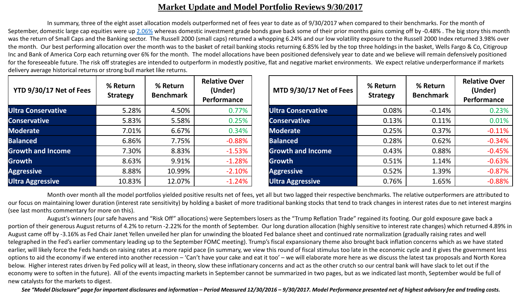## **Market Update and Model Portfolio Reviews 9/30/2017**

In summary, three of the eight asset allocation models outperformed net of fees year to date as of 9/30/2017 when compared to their benchmarks. For the month of September, domestic large cap equities were up [2.06%](http://us.spindices.com/indices/equity/sp-500) whereas domestic investment grade bonds gave back some of their prior months gains coming off by -0.48%. The big story this month was the return of Small Caps and the Banking sector. The Russell 2000 (small caps) returned a whopping 6.24% and our low volatility exposure to the Russell 2000 Index returned 3.98% over the month. Our best performing allocation over the month was to the basket of retail banking stocks returning 6.85% led by the top three holdings in the basket, Wells Fargo & Co, Citigroup Inc and Bank of America Corp each returning over 6% for the month. The model allocations have been positioned defensively year to date and we believe will remain defensively positioned for the foreseeable future. The risk off strategies are intended to outperform in modestly positive, flat and negative market environments. We expect relative underperformance if markets delivery average historical returns or strong bull market like returns.

| YTD 9/30/17 Net of Fees  | % Return<br><b>Strategy</b> | % Return<br><b>Benchmark</b> | <b>Relative Over</b><br>(Under)<br>Performance | MTD 9/30/17 Net of Fees   | % Return<br><b>Strategy</b> | % Return<br><b>Benchmark</b> | <b>Relative Over</b><br>(Under)<br><b>Performance</b> |
|--------------------------|-----------------------------|------------------------------|------------------------------------------------|---------------------------|-----------------------------|------------------------------|-------------------------------------------------------|
| Ultra Conservative       | 5.28%                       | 4.50%                        | 0.77%                                          | <b>Ultra Conservative</b> | 0.08%                       | $-0.14%$                     | 0.23%                                                 |
| <b>Conservative</b>      | 5.83%                       | 5.58%                        | 0.25%                                          | <b>Conservative</b>       | 0.13%                       | 0.11%                        | 0.01%                                                 |
| Moderate                 | 7.01%                       | 6.67%                        | 0.34%                                          | <b>Moderate</b>           | 0.25%                       | 0.37%                        | $-0.11%$                                              |
| <b>Balanced</b>          | 6.86%                       | 7.75%                        | $-0.88%$                                       | <b>Balanced</b>           | 0.28%                       | 0.62%                        | $-0.34%$                                              |
| <b>Growth and Income</b> | 7.30%                       | 8.83%                        | $-1.53%$                                       | <b>Growth and Income</b>  | 0.43%                       | 0.88%                        | $-0.45%$                                              |
| Growth                   | 8.63%                       | 9.91%                        | $-1.28%$                                       | <b>Growth</b>             | 0.51%                       | 1.14%                        | $-0.63%$                                              |
| <b>Aggressive</b>        | 8.88%                       | 10.99%                       | $-2.10%$                                       | <b>Aggressive</b>         | 0.52%                       | 1.39%                        | $-0.87%$                                              |
| <b>Ultra Aggressive</b>  | 10.83%                      | 12.07%                       | $-1.24%$                                       | <b>Ultra Aggressive</b>   | 0.76%                       | 1.65%                        | $-0.88%$                                              |

Month over month all the model portfolios yielded positive results net of fees, yet all but two lagged their respective benchmarks. The relative outperformers are attributed to our focus on maintaining lower duration (interest rate sensitivity) by holding a basket of more traditional banking stocks that tend to track changes in interest rates due to net interest margins (see last months commentary for more on this).

August's winners (our safe havens and "Risk Off" allocations) were Septembers losers as the "Trump Reflation Trade" regained its footing. Our gold exposure gave back a portion of their generous August returns of 4.2% to return -2.22% for the month of September. Our long duration allocation (highly sensitive to interest rate changes) which returned 4.89% in August came off by -3.16% as Fed Chair Janet Yellen unveiled her plan for unwinding the bloated Fed balance sheet and continued rate normalization (gradually raising rates and well telegraphed in the Fed's earlier commentary leading up to the September FOMC meeting). Trump's fiscal expansionary theme also brought back inflation concerns which as we have stated earlier, will likely force the Feds hands on raising rates at a more rapid pace (in summary, we view this round of fiscal stimulus too late in the economic cycle and it gives the government less options to aid the economy if we entered into another recession – 'Can't have your cake and eat it too' – we will elaborate more here as we discuss the latest tax proposals and North Korea below. Higher interest rates driven by Fed policy will at least, in theory, slow these inflationary concerns and act as the other crutch so our central bank will have slack to let out if the economy were to soften in the future). All of the events impacting markets in September cannot be summarized in two pages, but as we indicated last month, September would be full of new catalysts for the markets to digest.

*See "Model Disclosure" page for important disclosures and information – Period Measured 12/30/2016 – 9/30/2017. Model Performance presented net of highest advisory fee and trading costs.*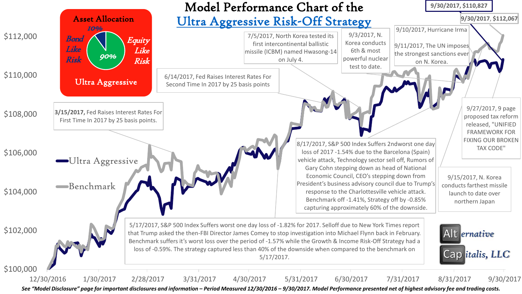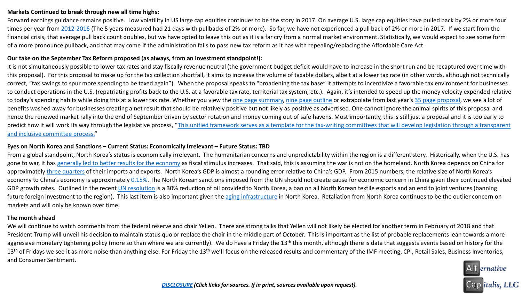### **Markets Continued to break through new all time highs:**

Forward earnings guidance remains positive. Low volatility in US large cap equities continues to be the story in 2017. On average U.S. large cap equities have pulled back by 2% or more four times per year from [2012-2016](https://us.spindices.com/indices/equity/sp-500) (The 5 years measured had 21 days with pullbacks of 2% or more). So far, we have not experienced a pull back of 2% or more in 2017. If we start from the financial crisis, that average pull back count doubles, but we have opted to leave this out as it is a far cry from a normal market environment. Statistically, we would expect to see some form of a more pronounce pullback, and that may come if the administration fails to pass new tax reform as it has with repealing/replacing the Affordable Care Act.

#### **Our take on the September Tax Reform proposed (as always, from an investment standpoint!):**

It is not simultaneously possible to lower tax rates and stay fiscally revenue neutral (the government budget deficit would have to increase in the short run and be recaptured over time with this proposal). For this proposal to make up for the tax collection shortfall, it aims to increase the volume of taxable dollars, albeit at a lower tax rate (in other words, although not technically correct, "tax savings to spur more spending to be taxed again"). When the proposal speaks to "broadening the tax base" it attempts to incentivize a favorable tax environment for businesses to conduct operations in the U.S. (repatriating profits back to the U.S. at a favorable tax rate, territorial tax system, etc.). Again, it's intended to speed up the money velocity expended relative to today's spending habits while doing this at a lower tax rate. Whether you view the [one page summary,](https://www.treasury.gov/press-center/press-releases/Documents/Tax-Framework_1pager.pdf) [nine page outline](https://www.treasury.gov/press-center/press-releases/Documents/Tax-Framework.pdf) or extrapolate from last year's [35 page proposal](https://abetterway.speaker.gov/_assets/pdf/ABetterWay-Tax-PolicyPaper.pdf), we see a lot of benefits washed away for businesses creating a net result that should be relatively positive but not likely as positive as advertised. One cannot ignore the animal spirits of this proposal and hence the renewed market rally into the end of September driven by sector rotation and money coming out of safe havens. Most importantly, this is still just a proposal and it is too early to [predict how it will work its way through the legislative process, "This unified framework serves as a template for the tax-writing committees that will develop legislation through a transparent](https://www.treasury.gov/press-center/press-releases/Documents/Tax-Framework.pdf) and inclusive committee process."

#### **Eyes on North Korea and Sanctions – Current Status: Economically Irrelevant – Future Status: TBD**

From a global standpoint, North Korea's status is economically irrelevant. The humanitarian concerns and unpredictability within the region is a different story. Historically, when the U.S. has gone to war, it has [generally led to better results for the economy](https://blogs.cfainstitute.org/investor/2017/08/29/u-s-capital-market-returns-during-periods-of-war/) as fiscal stimulus increases. That said, this is assuming the war is not on the homeland. North Korea depends on China for approximately [three quarters](https://www.cia.gov/library/publications/the-world-factbook/geos/kn.html) of their imports and exports. North Korea's GDP is almost a rounding error relative to China's GDP. From 2015 numbers, the relative size of North Korea's economy to China's economy is approximately [0.15%](https://unstats.un.org/unsd/snaama/selbasicFast.asp). The North Korean sanctions imposed from the UN should not create cause for economic concern in China given their continued elevated GDP growth rates. Outlined in the recent [UN resolution](https://usun.state.gov/remarks/7969) is a 30% reduction of oil provided to North Korea, a ban on all North Korean textile exports and an end to joint ventures (banning future foreign investment to the region). This last item is also important given the [aging infrastructure](https://www.cia.gov/library/publications/the-world-factbook/geos/kn.html) in North Korea. Retaliation from North Korea continues to be the outlier concern on markets and will only be known over time.

### **The month ahead**

We will continue to watch comments from the federal reserve and chair Yellen. There are strong talks that Yellen will not likely be elected for another term in February of 2018 and that President Trump will unveil his decision to maintain status quo or replace the chair in the middle part of October. This is important as the list of probable replacements lean towards a more aggressive monetary tightening policy (more so than where we are currently). We do have a Friday the 13<sup>th</sup> this month, although there is data that suggests events based on history for the  $13<sup>th</sup>$  of Fridays we see it as more noise than anything else. For Friday the  $13<sup>th</sup>$  we'll focus on the released results and commentary of the IMF meeting, CPI, Retail Sales, Business Inventories, and Consumer Sentiment.